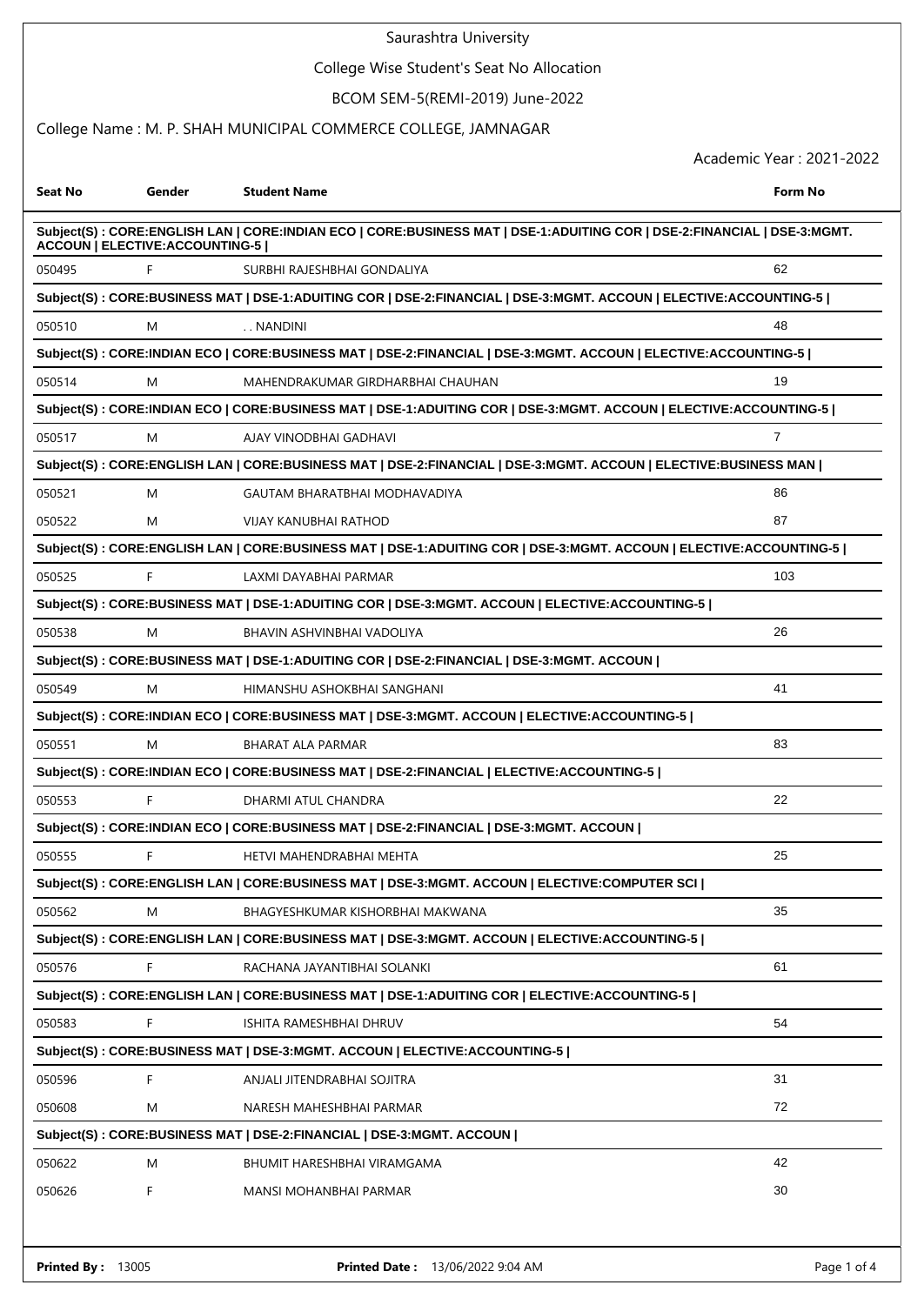#### College Wise Student's Seat No Allocation

### BCOM SEM-5(REMI-2019) June-2022

## College Name : M. P. SHAH MUNICIPAL COMMERCE COLLEGE, JAMNAGAR

| Seat No                                                                                                                                                          | Gender | <b>Student Name</b>                                                                                                | Form No        |  |  |  |  |
|------------------------------------------------------------------------------------------------------------------------------------------------------------------|--------|--------------------------------------------------------------------------------------------------------------------|----------------|--|--|--|--|
| Subject(S): CORE:ENGLISH LAN   CORE:INDIAN ECO   CORE:BUSINESS MAT   DSE-1:ADUITING COR   DSE-2:FINANCIAL   DSE-3:MGMT.<br><b>ACCOUN   ELECTIVE:ACCOUNTING-5</b> |        |                                                                                                                    |                |  |  |  |  |
| 050495                                                                                                                                                           | F      | SURBHI RAJESHBHAI GONDALIYA                                                                                        | 62             |  |  |  |  |
|                                                                                                                                                                  |        | Subject(S): CORE:BUSINESS MAT   DSE-1:ADUITING COR   DSE-2:FINANCIAL   DSE-3:MGMT. ACCOUN   ELECTIVE:ACCOUNTING-5  |                |  |  |  |  |
| 050510                                                                                                                                                           | M      | NANDINI                                                                                                            | 48             |  |  |  |  |
|                                                                                                                                                                  |        | Subject(S): CORE:INDIAN ECO   CORE:BUSINESS MAT   DSE-2:FINANCIAL   DSE-3:MGMT. ACCOUN   ELECTIVE:ACCOUNTING-5     |                |  |  |  |  |
| 050514                                                                                                                                                           | M      | MAHENDRAKUMAR GIRDHARBHAI CHAUHAN                                                                                  | 19             |  |  |  |  |
|                                                                                                                                                                  |        | Subject(S): CORE:INDIAN ECO   CORE:BUSINESS MAT   DSE-1:ADUITING COR   DSE-3:MGMT. ACCOUN   ELECTIVE:ACCOUNTING-5  |                |  |  |  |  |
| 050517                                                                                                                                                           | M      | AJAY VINODBHAI GADHAVI                                                                                             | $\overline{7}$ |  |  |  |  |
|                                                                                                                                                                  |        | Subject(S): CORE:ENGLISH LAN   CORE:BUSINESS MAT   DSE-2:FINANCIAL   DSE-3:MGMT. ACCOUN   ELECTIVE:BUSINESS MAN    |                |  |  |  |  |
| 050521                                                                                                                                                           | M      | GAUTAM BHARATBHAI MODHAVADIYA                                                                                      | 86             |  |  |  |  |
| 050522                                                                                                                                                           | M      | <b>VIJAY KANUBHAI RATHOD</b>                                                                                       | 87             |  |  |  |  |
|                                                                                                                                                                  |        | Subject(S): CORE:ENGLISH LAN   CORE:BUSINESS MAT   DSE-1:ADUITING COR   DSE-3:MGMT. ACCOUN   ELECTIVE:ACCOUNTING-5 |                |  |  |  |  |
| 050525                                                                                                                                                           | F      | LAXMI DAYABHAI PARMAR                                                                                              | 103            |  |  |  |  |
|                                                                                                                                                                  |        | Subject(S) : CORE:BUSINESS MAT   DSE-1:ADUITING COR   DSE-3:MGMT. ACCOUN   ELECTIVE:ACCOUNTING-5                   |                |  |  |  |  |
| 050538                                                                                                                                                           | M      | BHAVIN ASHVINBHAI VADOLIYA                                                                                         | 26             |  |  |  |  |
|                                                                                                                                                                  |        | Subject(S) : CORE:BUSINESS MAT   DSE-1:ADUITING COR   DSE-2:FINANCIAL   DSE-3:MGMT. ACCOUN                         |                |  |  |  |  |
| 050549                                                                                                                                                           | M      | HIMANSHU ASHOKBHAI SANGHANI                                                                                        | 41             |  |  |  |  |
|                                                                                                                                                                  |        | Subject(S) : CORE:INDIAN ECO   CORE:BUSINESS MAT   DSE-3:MGMT. ACCOUN   ELECTIVE:ACCOUNTING-5                      |                |  |  |  |  |
| 050551                                                                                                                                                           | M      | <b>BHARAT ALA PARMAR</b>                                                                                           | 83             |  |  |  |  |
|                                                                                                                                                                  |        | Subject(S) : CORE:INDIAN ECO   CORE:BUSINESS MAT   DSE-2:FINANCIAL   ELECTIVE:ACCOUNTING-5                         |                |  |  |  |  |
| 050553                                                                                                                                                           | F      | DHARMI ATUL CHANDRA                                                                                                | 22             |  |  |  |  |
|                                                                                                                                                                  |        | Subject(S): CORE:INDIAN ECO   CORE:BUSINESS MAT   DSE-2:FINANCIAL   DSE-3:MGMT. ACCOUN                             |                |  |  |  |  |
| 050555                                                                                                                                                           | F      | HETVI MAHENDRABHAI MEHTA                                                                                           | 25             |  |  |  |  |
|                                                                                                                                                                  |        | Subject(S): CORE:ENGLISH LAN   CORE:BUSINESS MAT   DSE-3:MGMT. ACCOUN   ELECTIVE:COMPUTER SCI                      |                |  |  |  |  |
| 050562                                                                                                                                                           | M      | BHAGYESHKUMAR KISHORBHAI MAKWANA                                                                                   | 35             |  |  |  |  |
| Subject(S) : CORE:ENGLISH LAN   CORE:BUSINESS MAT   DSE-3:MGMT. ACCOUN   ELECTIVE:ACCOUNTING-5                                                                   |        |                                                                                                                    |                |  |  |  |  |
| 050576                                                                                                                                                           | F      | RACHANA JAYANTIBHAI SOLANKI                                                                                        | 61             |  |  |  |  |
|                                                                                                                                                                  |        | Subject(S): CORE:ENGLISH LAN   CORE:BUSINESS MAT   DSE-1:ADUITING COR   ELECTIVE:ACCOUNTING-5                      |                |  |  |  |  |
| 050583                                                                                                                                                           | F      | ISHITA RAMESHBHAI DHRUV                                                                                            | 54             |  |  |  |  |
| Subject(S): CORE:BUSINESS MAT   DSE-3:MGMT. ACCOUN   ELECTIVE:ACCOUNTING-5                                                                                       |        |                                                                                                                    |                |  |  |  |  |
| 050596                                                                                                                                                           | F      | ANJALI JITENDRABHAI SOJITRA                                                                                        | 31             |  |  |  |  |
| 050608                                                                                                                                                           | M      | NARESH MAHESHBHAI PARMAR                                                                                           | 72             |  |  |  |  |
| Subject(S): CORE:BUSINESS MAT   DSE-2:FINANCIAL   DSE-3:MGMT. ACCOUN                                                                                             |        |                                                                                                                    |                |  |  |  |  |
| 050622                                                                                                                                                           | M      | BHUMIT HARESHBHAI VIRAMGAMA                                                                                        | 42             |  |  |  |  |
| 050626                                                                                                                                                           | F      | MANSI MOHANBHAI PARMAR                                                                                             | 30             |  |  |  |  |
|                                                                                                                                                                  |        |                                                                                                                    |                |  |  |  |  |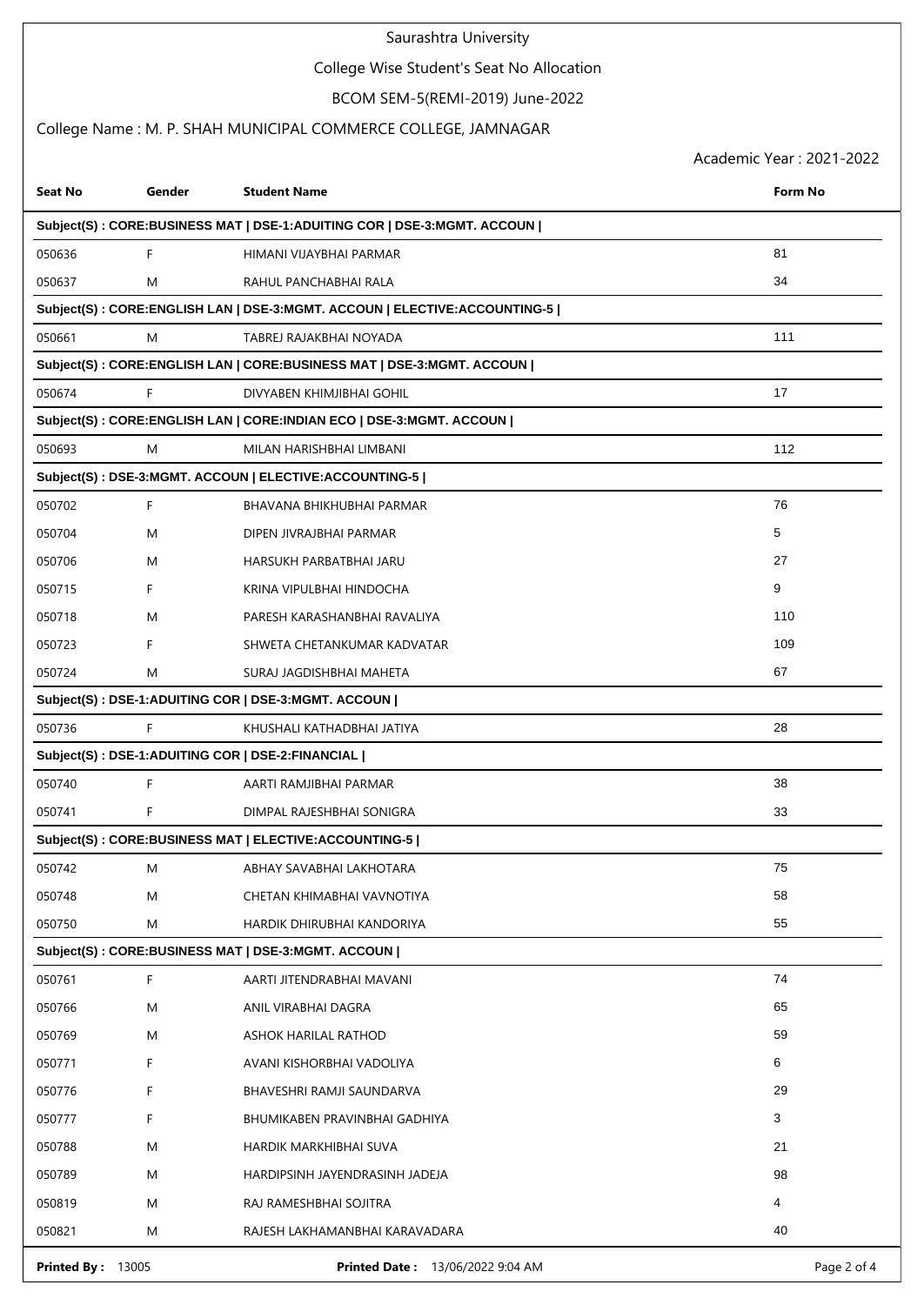# College Wise Student's Seat No Allocation

## BCOM SEM-5(REMI-2019) June-2022

## College Name : M. P. SHAH MUNICIPAL COMMERCE COLLEGE, JAMNAGAR

| <b>Seat No</b>                                                           | Gender | <b>Student Name</b>                                                        | <b>Form No</b> |  |  |  |  |
|--------------------------------------------------------------------------|--------|----------------------------------------------------------------------------|----------------|--|--|--|--|
| Subject(S) : CORE:BUSINESS MAT   DSE-1:ADUITING COR   DSE-3:MGMT. ACCOUN |        |                                                                            |                |  |  |  |  |
| 050636                                                                   | F      | HIMANI VIJAYBHAI PARMAR                                                    | 81             |  |  |  |  |
| 050637                                                                   | M      | RAHUL PANCHABHAI RALA                                                      | 34             |  |  |  |  |
|                                                                          |        | Subject(S) : CORE:ENGLISH LAN   DSE-3:MGMT. ACCOUN   ELECTIVE:ACCOUNTING-5 |                |  |  |  |  |
| 050661                                                                   | M      | TABREJ RAJAKBHAI NOYADA                                                    | 111            |  |  |  |  |
|                                                                          |        | Subject(S): CORE:ENGLISH LAN   CORE:BUSINESS MAT   DSE-3:MGMT. ACCOUN      |                |  |  |  |  |
| 050674                                                                   | F      | DIVYABEN KHIMJIBHAI GOHIL                                                  | 17             |  |  |  |  |
|                                                                          |        | Subject(S) : CORE: ENGLISH LAN   CORE: INDIAN ECO   DSE-3: MGMT. ACCOUN    |                |  |  |  |  |
| 050693                                                                   | M      | MILAN HARISHBHAI LIMBANI                                                   | 112            |  |  |  |  |
|                                                                          |        | Subject(S): DSE-3:MGMT. ACCOUN   ELECTIVE:ACCOUNTING-5                     |                |  |  |  |  |
| 050702                                                                   | F      | BHAVANA BHIKHUBHAI PARMAR                                                  | 76             |  |  |  |  |
| 050704                                                                   | M      | DIPEN JIVRAJBHAI PARMAR                                                    | 5              |  |  |  |  |
| 050706                                                                   | M      | HARSUKH PARBATBHAI JARU                                                    | 27             |  |  |  |  |
| 050715                                                                   | F      | KRINA VIPULBHAI HINDOCHA                                                   | 9              |  |  |  |  |
| 050718                                                                   | M      | PARESH KARASHANBHAI RAVALIYA                                               | 110            |  |  |  |  |
| 050723                                                                   | F      | SHWETA CHETANKUMAR KADVATAR                                                | 109            |  |  |  |  |
| 050724                                                                   | M      | SURAJ JAGDISHBHAI MAHETA                                                   | 67             |  |  |  |  |
|                                                                          |        | Subject(S): DSE-1:ADUITING COR   DSE-3:MGMT. ACCOUN                        |                |  |  |  |  |
| 050736                                                                   | F      | KHUSHALI KATHADBHAI JATIYA                                                 | 28             |  |  |  |  |
|                                                                          |        | Subject(S): DSE-1:ADUITING COR   DSE-2:FINANCIAL                           |                |  |  |  |  |
| 050740                                                                   | F      | AARTI RAMJIBHAI PARMAR                                                     | 38             |  |  |  |  |
| 050741                                                                   | F      | DIMPAL RAJESHBHAI SONIGRA                                                  | 33             |  |  |  |  |
|                                                                          |        | Subject(S): CORE:BUSINESS MAT   ELECTIVE:ACCOUNTING-5                      |                |  |  |  |  |
| 050742                                                                   | M      | ABHAY SAVABHAI LAKHOTARA                                                   | 75             |  |  |  |  |
| 050748                                                                   | M      | CHETAN KHIMABHAI VAVNOTIYA                                                 | 58             |  |  |  |  |
| 050750                                                                   | M      | HARDIK DHIRUBHAI KANDORIYA                                                 | 55             |  |  |  |  |
| Subject(S): CORE:BUSINESS MAT   DSE-3:MGMT. ACCOUN                       |        |                                                                            |                |  |  |  |  |
| 050761                                                                   | F      | AARTI JITENDRABHAI MAVANI                                                  | 74             |  |  |  |  |
| 050766                                                                   | M      | ANIL VIRABHAI DAGRA                                                        | 65             |  |  |  |  |
| 050769                                                                   | M      | ASHOK HARILAL RATHOD                                                       | 59             |  |  |  |  |
| 050771                                                                   | F      | AVANI KISHORBHAI VADOLIYA                                                  | 6              |  |  |  |  |
| 050776                                                                   | F      | BHAVESHRI RAMJI SAUNDARVA                                                  | 29             |  |  |  |  |
| 050777                                                                   | F      | BHUMIKABEN PRAVINBHAI GADHIYA                                              | 3              |  |  |  |  |
| 050788                                                                   | M      | HARDIK MARKHIBHAI SUVA                                                     | 21             |  |  |  |  |
| 050789                                                                   | M      | HARDIPSINH JAYENDRASINH JADEJA                                             | 98             |  |  |  |  |
| 050819                                                                   | M      | RAJ RAMESHBHAI SOJITRA                                                     | 4              |  |  |  |  |
| 050821                                                                   | M      | RAJESH LAKHAMANBHAI KARAVADARA                                             | 40             |  |  |  |  |
| <b>Printed By: 13005</b>                                                 |        | <b>Printed Date: 13/06/2022 9:04 AM</b>                                    | Page 2 of 4    |  |  |  |  |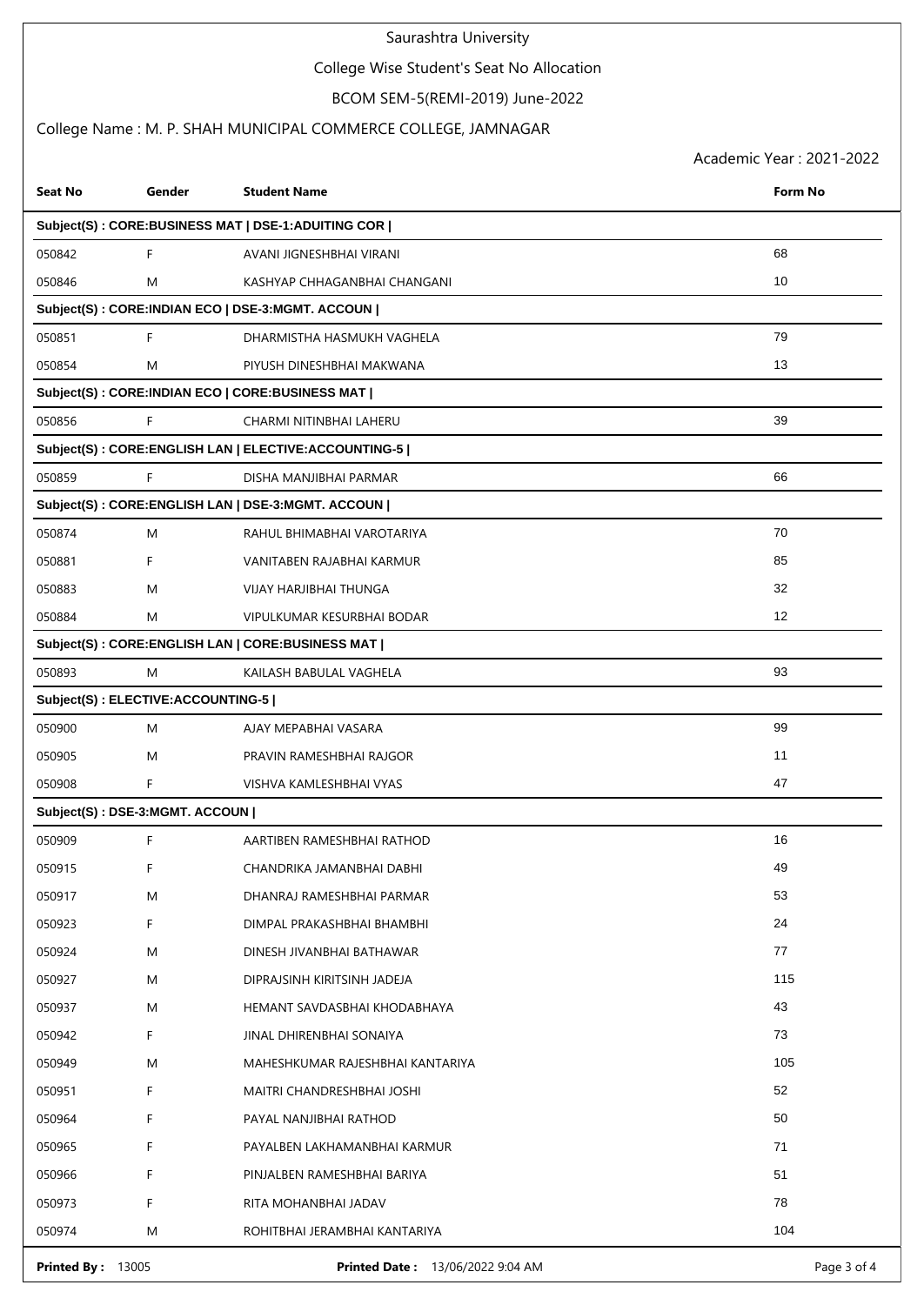## College Wise Student's Seat No Allocation

# BCOM SEM-5(REMI-2019) June-2022

## College Name : M. P. SHAH MUNICIPAL COMMERCE COLLEGE, JAMNAGAR

| <b>Seat No</b>                                     | Gender                            | <b>Student Name</b>                                  | Form No     |  |  |  |
|----------------------------------------------------|-----------------------------------|------------------------------------------------------|-------------|--|--|--|
| Subject(S): CORE:BUSINESS MAT   DSE-1:ADUITING COR |                                   |                                                      |             |  |  |  |
| 050842                                             | F                                 | AVANI JIGNESHBHAI VIRANI                             | 68          |  |  |  |
| 050846                                             | M                                 | KASHYAP CHHAGANBHAI CHANGANI                         | 10          |  |  |  |
|                                                    |                                   | Subject(S) : CORE:INDIAN ECO   DSE-3:MGMT. ACCOUN    |             |  |  |  |
| 050851                                             | F                                 | DHARMISTHA HASMUKH VAGHELA                           | 79          |  |  |  |
| 050854                                             | M                                 | PIYUSH DINESHBHAI MAKWANA                            | 13          |  |  |  |
|                                                    |                                   | Subject(S): CORE:INDIAN ECO   CORE:BUSINESS MAT      |             |  |  |  |
| 050856                                             | F                                 | CHARMI NITINBHAI LAHERU                              | 39          |  |  |  |
|                                                    |                                   | Subject(S): CORE:ENGLISH LAN   ELECTIVE:ACCOUNTING-5 |             |  |  |  |
| 050859                                             | F                                 | DISHA MANJIBHAI PARMAR                               | 66          |  |  |  |
|                                                    |                                   | Subject(S): CORE: ENGLISH LAN   DSE-3: MGMT. ACCOUN  |             |  |  |  |
| 050874                                             | M                                 | RAHUL BHIMABHAI VAROTARIYA                           | 70          |  |  |  |
| 050881                                             | F                                 | VANITABEN RAJABHAI KARMUR                            | 85          |  |  |  |
| 050883                                             | M                                 | VIJAY HARJIBHAI THUNGA                               | 32          |  |  |  |
| 050884                                             | M                                 | VIPULKUMAR KESURBHAI BODAR                           | 12          |  |  |  |
|                                                    |                                   | Subject(S): CORE: ENGLISH LAN   CORE: BUSINESS MAT   |             |  |  |  |
| 050893                                             | M                                 | KAILASH BABULAL VAGHELA                              | 93          |  |  |  |
|                                                    | Subject(S): ELECTIVE:ACCOUNTING-5 |                                                      |             |  |  |  |
| 050900                                             | M                                 | AJAY MEPABHAI VASARA                                 | 99          |  |  |  |
| 050905                                             | M                                 | PRAVIN RAMESHBHAI RAJGOR                             | 11          |  |  |  |
| 050908                                             | F                                 | VISHVA KAMLESHBHAI VYAS                              | 47          |  |  |  |
|                                                    | Subject(S): DSE-3:MGMT. ACCOUN    |                                                      |             |  |  |  |
| 050909                                             | F                                 | AARTIBEN RAMESHBHAI RATHOD                           | 16          |  |  |  |
| 050915                                             | F                                 | CHANDRIKA JAMANBHAI DABHI                            | 49          |  |  |  |
| 050917                                             | M                                 | DHANRAJ RAMESHBHAI PARMAR                            | 53          |  |  |  |
| 050923                                             | F                                 | DIMPAL PRAKASHBHAI BHAMBHI                           | 24          |  |  |  |
| 050924                                             | M                                 | DINESH JIVANBHAI BATHAWAR                            | 77          |  |  |  |
| 050927                                             | M                                 | DIPRAJSINH KIRITSINH JADEJA                          | 115         |  |  |  |
| 050937                                             | M                                 | HEMANT SAVDASBHAI KHODABHAYA                         | 43          |  |  |  |
| 050942                                             | F                                 | JINAL DHIRENBHAI SONAIYA                             | 73          |  |  |  |
| 050949                                             | M                                 | MAHESHKUMAR RAJESHBHAI KANTARIYA                     | 105         |  |  |  |
| 050951                                             | F                                 | MAITRI CHANDRESHBHAI JOSHI                           | 52          |  |  |  |
| 050964                                             | F.                                | PAYAL NANJIBHAI RATHOD                               | 50          |  |  |  |
| 050965                                             | F                                 | PAYALBEN LAKHAMANBHAI KARMUR                         | 71          |  |  |  |
| 050966                                             | F                                 | PINJALBEN RAMESHBHAI BARIYA                          | 51          |  |  |  |
| 050973                                             | F                                 | RITA MOHANBHAI JADAV                                 | 78          |  |  |  |
| 050974                                             | M                                 | ROHITBHAI JERAMBHAI KANTARIYA                        | 104         |  |  |  |
| <b>Printed By: 13005</b>                           |                                   | Printed Date: 13/06/2022 9:04 AM                     | Page 3 of 4 |  |  |  |